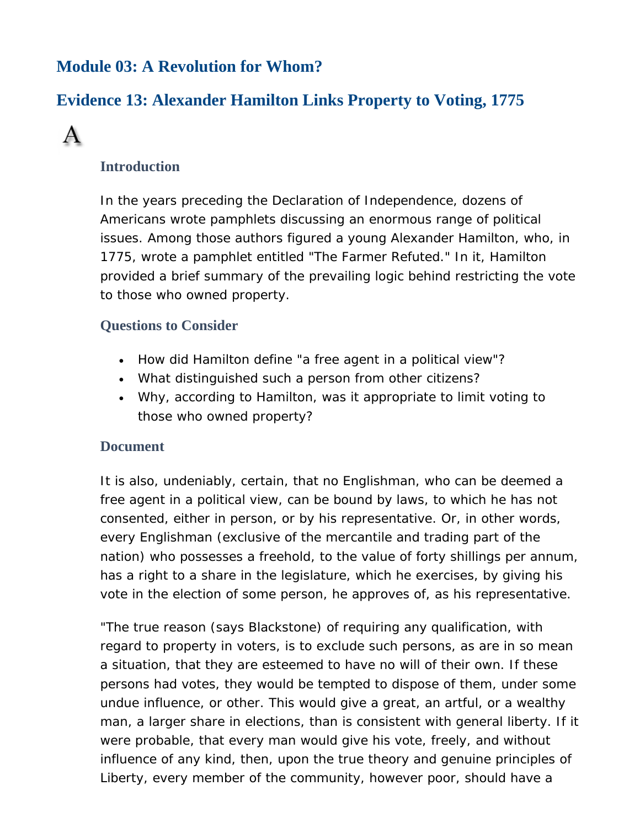# **Module 03: A Revolution for Whom?**

# **Evidence 13: Alexander Hamilton Links Property to Voting, 1775**



## **Introduction**

In the years preceding the Declaration of Independence, dozens of Americans wrote pamphlets discussing an enormous range of political issues. Among those authors figured a young Alexander Hamilton, who, in 1775, wrote a pamphlet entitled "The Farmer Refuted." In it, Hamilton provided a brief summary of the prevailing logic behind restricting the vote to those who owned property.

## **Questions to Consider**

- How did Hamilton define "a free agent in a political view"?
- What distinguished such a person from other citizens?
- Why, according to Hamilton, was it appropriate to limit voting to those who owned property?

## **Document**

It is also, undeniably, certain, that no Englishman, who can be deemed a free agent in a political view, can be bound by laws, to which he has not consented, either in person, or by his representative. Or, in other words, every Englishman (exclusive of the mercantile and trading part of the nation) who possesses a freehold, to the value of forty shillings per annum, has a right to a share in the legislature, which he exercises, by giving his vote in the election of some person, he approves of, as his representative.

"The true reason (says Blackstone) of requiring any qualification, with regard to property in voters, is to exclude such persons, as are in so mean a situation, that they are esteemed to have no will of their own. If these persons had votes, they would be tempted to dispose of them, under some undue influence, or other. This would give a great, an artful, or a wealthy man, a larger share in elections, than is consistent with general liberty. If it were probable, that every man would give his vote, freely, and without influence of any kind, then, upon the true theory and genuine principles of Liberty, every member of the community, however poor, should have a